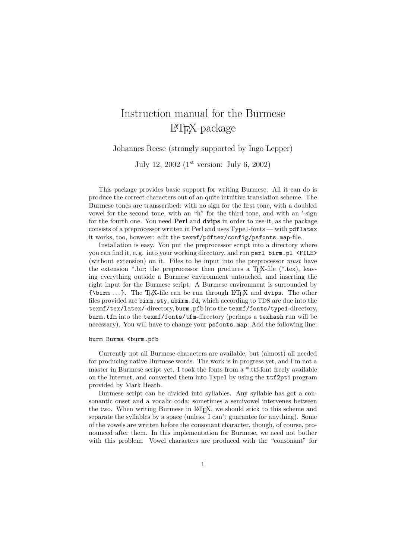## Instruction manual for the Burmese LATEX-package

Johannes Reese (strongly supported by Ingo Lepper)

July 12, 2002  $(1^{st}$  version: July 6, 2002)

This package provides basic support for writing Burmese. All it can do is produce the correct characters out of an quite intuitive translation scheme. The Burmese tones are transscribed: with no sign for the first tone, with a doubled vowel for the second tone, with an "h" for the third tone, and with an '-sign for the fourth one. You need **Perl** and **dvips** in order to use it, as the package consists of a preprocessor written in Perl and uses Type1-fonts — with pdflatex it works, too, however: edit the texmf/pdftex/config/psfonts.map-file.

Installation is easy. You put the preprocessor script into a directory where you can find it, e.g. into your working directory, and run perl birm.pl <FILE> (without extension) on it. Files to be input into the preprocessor must have the extension  $*$  bir; the preprocessor then produces a T<sub>E</sub>X-file  $(*.$ tex), leaving everything outside a Burmese environment untouched, and inserting the right input for the Burmese script. A Burmese environment is surrounded by  ${\rm \{birm \ldots\}}$ . The T<sub>EX</sub>-file can be run through L<sup>AT</sup>EX and dvips. The other files provided are birm.sty, ubirm.fd, which according to TDS are due into the texmf/tex/latex/-directory, burm.pfb into the texmf/fonts/type1-directory, burm.tfm into the texmf/fonts/tfm-directory (perhaps a texhash run will be necessary). You will have to change your psfonts.map: Add the following line:

burm Burma <burm.pfb

Currently not all Burmese characters are available, but (almost) all needed for producing native Burmese words. The work is in progress yet, and I'm not a master in Burmese script yet. I took the fonts from a \*.ttf-font freely available on the Internet, and converted them into Type1 by using the ttf2pt1 program provided by Mark Heath.

Burmese script can be divided into syllables. Any syllable has got a consonantic onset and a vocalic coda; sometimes a semivowel intervenes between the two. When writing Burmese in LATEX, we should stick to this scheme and separate the syllables by a space (unless, I can't guarantee for anything). Some of the vowels are written before the consonant character, though, of course, pronounced after them. In this implementation for Burmese, we need not bother with this problem. Vowel characters are produced with the "consonant" for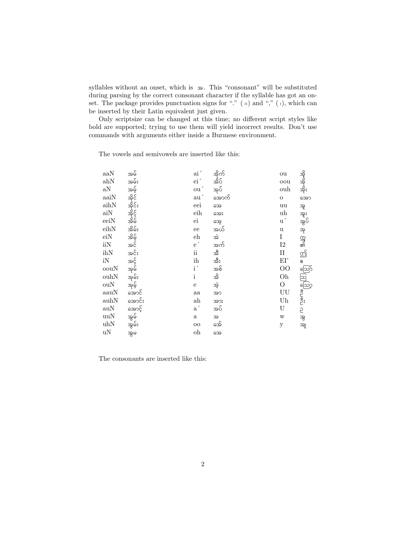syllables without an onset, which is  $\infty$ . This "consonant" will be substituted during parsing by the correct consonant character if the syllable has got an onset. The package provides punctuation signs for "."  $( \nvert )$  and ","  $( \nvert )$ , which can be inserted by their Latin equivalent just given.

Only scriptsize can be changed at this time; no different script styles like bold are supported; trying to use them will yield incorrect results. Don't use commands with arguments either inside a Burmese environment.

The vowels and semivowels are inserted like this:

| aaN                        | အမ်              | ai'                       | အိုက် | ou                     |                                       |
|----------------------------|------------------|---------------------------|-------|------------------------|---------------------------------------|
| ahN                        | အမ်ိဳး           | $\mathrm{ei}^{\,\prime}$  | အိပ်  | oou                    |                                       |
| aN                         | အမွ်             | ou'                       | အုပ်  | ouh                    | အို-ဆို-ဆိုဝ<br>- -                   |
| $\rm{a}\rm{a}\rm{i}\rm{N}$ | အိုင်            | $\mathrm{au}^{\, \prime}$ | အောက် | $\mathbf O$            | အော                                   |
| aihN                       |                  | eei                       | အေ    | uu                     | အူ                                    |
| $\rm {aiN}$                | အိုင်း<br>အိုင့် | eih                       | အေး   | uh                     | အူး                                   |
| eeiN                       | အိမ်             | $\rm ei$                  | အေ့   | $\mathbf{u}^{\prime}$  | အွပ်                                  |
| eihN                       | အိမ်း            | ee                        | အယ်   | $\mathbf u$            | အု                                    |
| eiN                        | အိမ့်            | eh                        | အဲ    | $\rm I$                |                                       |
| iiN                        | အင်              | $e^{\prime}$              | အက်   | 12                     | റ്റ്റ്<br>ബി                          |
| ihN                        | အင်း             | $\rm ii$                  | အိ    | $\rm II$               | മ്പ്                                  |
| iN                         | အင့်             | ih                        | အီး   | EI'                    | ଞ                                     |
| oouN                       | အုမ်             | i'                        | အစ်   | $\overline{O}O$        |                                       |
| ouhN                       | အုမ်း            | $\mathbf{i}$              | အိ    | Oh                     |                                       |
| ouN                        | အုမ့်            | $\mathbf e$               | အဲ့   | $\mathcal{O}$          | ကိုး<br>ကိုးကို ဖြည့်<br>ကိုးကိုးကိုး |
| aauN                       | အောင်            | aa                        | အာ    | UU                     |                                       |
| auhN                       | အောင်း           | $_{\rm ah}$               | အား   | $\mathbf{U}\mathbf{h}$ |                                       |
| auN                        | အောင့်           | $\mathbf{a}^{\prime}$     | အပ်   | U                      | 5                                     |
| uuN                        | အွမ်ိ            | $\mathbf{a}$              | 39    | W                      | အွ                                    |
| uhN                        | အွမ်း            | $_{\rm OO}$               | အေ    | у                      | အျ                                    |
| uN                         | အွမ              | oh                        | အေ    |                        |                                       |

The consonants are inserted like this: